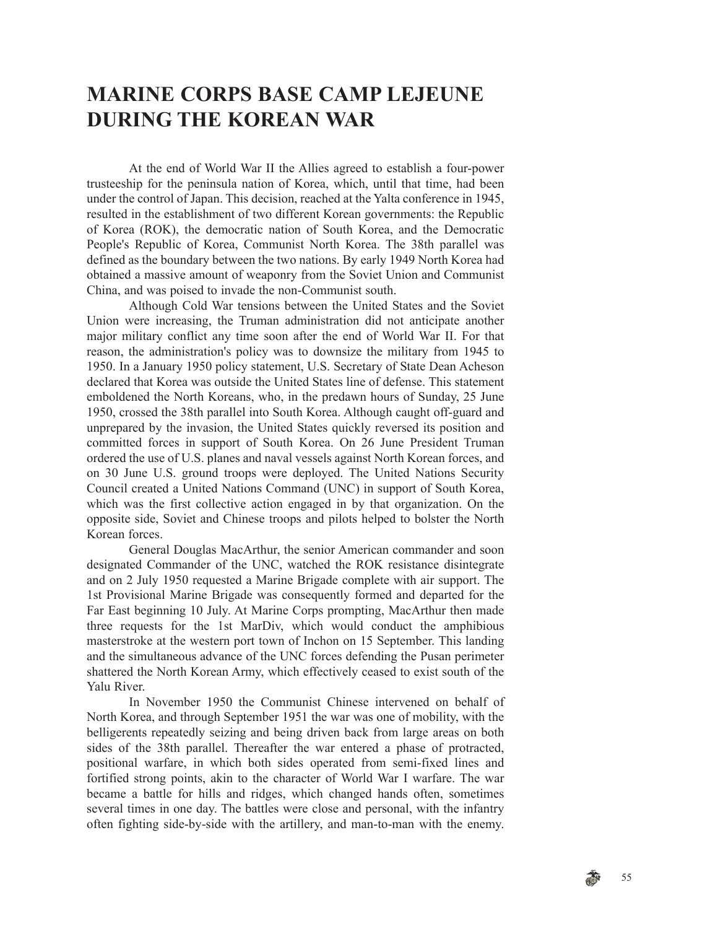# **MARINE CORPS BASE CAMP LEJEUNE DURING THE KOREAN WAR**

At the end of World War II the Allies agreed to establish a four-power trusteeship for the peninsula nation of Korea, which, until that time, had been under the control of Japan. This decision, reached at the Yalta conference in 1945, resulted in the establishment of two different Korean governments: the Republic of Korea (ROK), the democratic nation of South Korea, and the Democratic People's Republic of Korea, Communist North Korea. The 38th parallel was defined as the boundary between the two nations. By early 1949 North Korea had obtained a massive amount of weaponry from the Soviet Union and Communist China, and was poised to invade the non-Communist south.

Although Cold War tensions between the United States and the Soviet Union were increasing, the Truman administration did not anticipate another major military conflict any time soon after the end of World War II. For that reason, the administration's policy was to downsize the military from 1945 to 1950. In a January 1950 policy statement, U.S. Secretary of State Dean Acheson declared that Korea was outside the United States line of defense. This statement emboldened the North Koreans, who, in the predawn hours of Sunday, 25 June 1950, crossed the 38th parallel into South Korea. Although caught off-guard and unprepared by the invasion, the United States quickly reversed its position and committed forces in support of South Korea. On 26 June President Truman ordered the use of U.S. planes and naval vessels against North Korean forces, and on 30 June U.S. ground troops were deployed. The United Nations Security Council created a United Nations Command (UNC) in support of South Korea, which was the first collective action engaged in by that organization. On the opposite side, Soviet and Chinese troops and pilots helped to bolster the North Korean forces.

General Douglas MacArthur, the senior American commander and soon designated Commander of the UNC, watched the ROK resistance disintegrate and on 2 July 1950 requested a Marine Brigade complete with air support. The 1st Provisional Marine Brigade was consequently formed and departed for the Far East beginning 10 July. At Marine Corps prompting, MacArthur then made three requests for the 1st MarDiv, which would conduct the amphibious masterstroke at the western port town of Inchon on 15 September. This landing and the simultaneous advance of the UNC forces defending the Pusan perimeter shattered the North Korean Army, which effectively ceased to exist south of the Yalu River.

In November 1950 the Communist Chinese intervened on behalf of North Korea, and through September 1951 the war was one of mobility, with the belligerents repeatedly seizing and being driven back from large areas on both sides of the 38th parallel. Thereafter the war entered a phase of protracted, positional warfare, in which both sides operated from semi-fixed lines and fortified strong points, akin to the character of World War I warfare. The war became a battle for hills and ridges, which changed hands often, sometimes several times in one day. The battles were close and personal, with the infantry often fighting side-by-side with the artillery, and man-to-man with the enemy.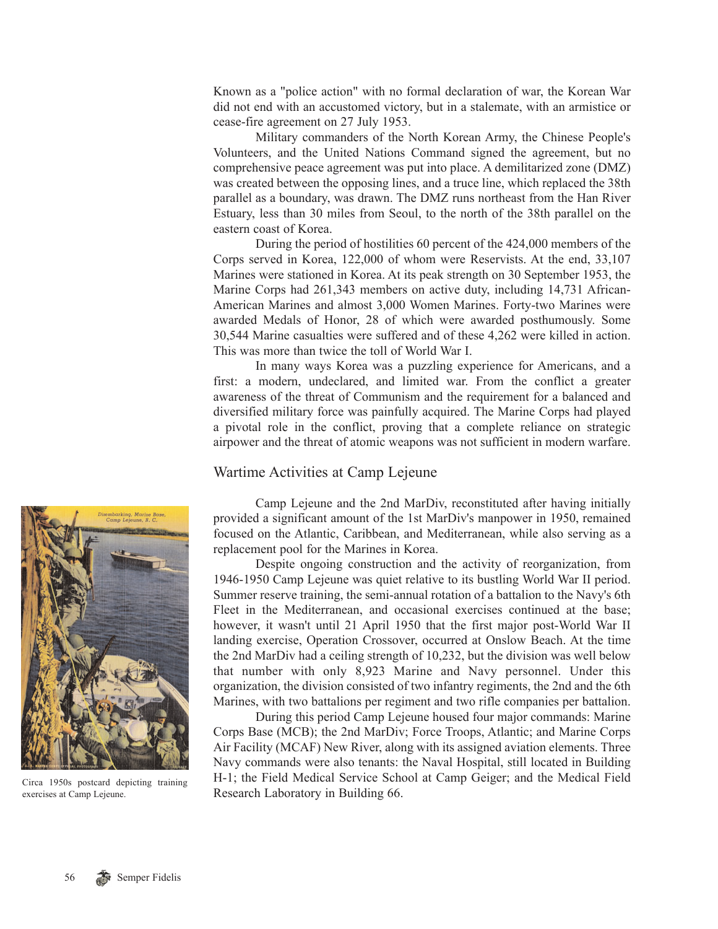Known as a "police action" with no formal declaration of war, the Korean War did not end with an accustomed victory, but in a stalemate, with an armistice or cease-fire agreement on 27 July 1953.

Military commanders of the North Korean Army, the Chinese People's Volunteers, and the United Nations Command signed the agreement, but no comprehensive peace agreement was put into place. A demilitarized zone (DMZ) was created between the opposing lines, and a truce line, which replaced the 38th parallel as a boundary, was drawn. The DMZ runs northeast from the Han River Estuary, less than 30 miles from Seoul, to the north of the 38th parallel on the eastern coast of Korea.

During the period of hostilities 60 percent of the 424,000 members of the Corps served in Korea, 122,000 of whom were Reservists. At the end, 33,107 Marines were stationed in Korea. At its peak strength on 30 September 1953, the Marine Corps had 261,343 members on active duty, including 14,731 African-American Marines and almost 3,000 Women Marines. Forty-two Marines were awarded Medals of Honor, 28 of which were awarded posthumously. Some 30,544 Marine casualties were suffered and of these 4,262 were killed in action. This was more than twice the toll of World War I.

In many ways Korea was a puzzling experience for Americans, and a first: a modern, undeclared, and limited war. From the conflict a greater awareness of the threat of Communism and the requirement for a balanced and diversified military force was painfully acquired. The Marine Corps had played a pivotal role in the conflict, proving that a complete reliance on strategic airpower and the threat of atomic weapons was not sufficient in modern warfare.

# Wartime Activities at Camp Lejeune

Camp Lejeune and the 2nd MarDiv, reconstituted after having initially provided a significant amount of the 1st MarDiv's manpower in 1950, remained focused on the Atlantic, Caribbean, and Mediterranean, while also serving as a replacement pool for the Marines in Korea.

Despite ongoing construction and the activity of reorganization, from 1946-1950 Camp Lejeune was quiet relative to its bustling World War II period. Summer reserve training, the semi-annual rotation of a battalion to the Navy's 6th Fleet in the Mediterranean, and occasional exercises continued at the base; however, it wasn't until 21 April 1950 that the first major post-World War II landing exercise, Operation Crossover, occurred at Onslow Beach. At the time the 2nd MarDiv had a ceiling strength of 10,232, but the division was well below that number with only 8,923 Marine and Navy personnel. Under this organization, the division consisted of two infantry regiments, the 2nd and the 6th Marines, with two battalions per regiment and two rifle companies per battalion.

During this period Camp Lejeune housed four major commands: Marine Corps Base (MCB); the 2nd MarDiv; Force Troops, Atlantic; and Marine Corps Air Facility (MCAF) New River, along with its assigned aviation elements. Three Navy commands were also tenants: the Naval Hospital, still located in Building H-1; the Field Medical Service School at Camp Geiger; and the Medical Field Research Laboratory in Building 66.



Circa 1950s postcard depicting training exercises at Camp Lejeune.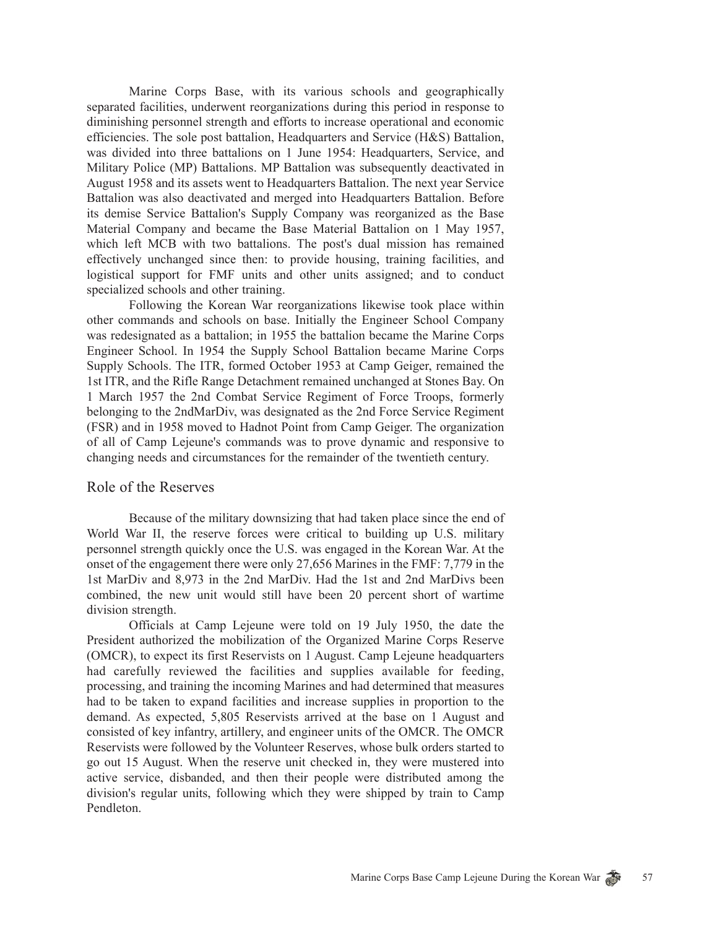Marine Corps Base, with its various schools and geographically separated facilities, underwent reorganizations during this period in response to diminishing personnel strength and efforts to increase operational and economic efficiencies. The sole post battalion, Headquarters and Service (H&S) Battalion, was divided into three battalions on 1 June 1954: Headquarters, Service, and Military Police (MP) Battalions. MP Battalion was subsequently deactivated in August 1958 and its assets went to Headquarters Battalion. The next year Service Battalion was also deactivated and merged into Headquarters Battalion. Before its demise Service Battalion's Supply Company was reorganized as the Base Material Company and became the Base Material Battalion on 1 May 1957, which left MCB with two battalions. The post's dual mission has remained effectively unchanged since then: to provide housing, training facilities, and logistical support for FMF units and other units assigned; and to conduct specialized schools and other training.

Following the Korean War reorganizations likewise took place within other commands and schools on base. Initially the Engineer School Company was redesignated as a battalion; in 1955 the battalion became the Marine Corps Engineer School. In 1954 the Supply School Battalion became Marine Corps Supply Schools. The ITR, formed October 1953 at Camp Geiger, remained the 1st ITR, and the Rifle Range Detachment remained unchanged at Stones Bay. On 1 March 1957 the 2nd Combat Service Regiment of Force Troops, formerly belonging to the 2ndMarDiv, was designated as the 2nd Force Service Regiment (FSR) and in 1958 moved to Hadnot Point from Camp Geiger. The organization of all of Camp Lejeune's commands was to prove dynamic and responsive to changing needs and circumstances for the remainder of the twentieth century.

#### Role of the Reserves

Because of the military downsizing that had taken place since the end of World War II, the reserve forces were critical to building up U.S. military personnel strength quickly once the U.S. was engaged in the Korean War. At the onset of the engagement there were only 27,656 Marines in the FMF: 7,779 in the 1st MarDiv and 8,973 in the 2nd MarDiv. Had the 1st and 2nd MarDivs been combined, the new unit would still have been 20 percent short of wartime division strength.

Officials at Camp Lejeune were told on 19 July 1950, the date the President authorized the mobilization of the Organized Marine Corps Reserve (OMCR), to expect its first Reservists on 1 August. Camp Lejeune headquarters had carefully reviewed the facilities and supplies available for feeding, processing, and training the incoming Marines and had determined that measures had to be taken to expand facilities and increase supplies in proportion to the demand. As expected, 5,805 Reservists arrived at the base on 1 August and consisted of key infantry, artillery, and engineer units of the OMCR. The OMCR Reservists were followed by the Volunteer Reserves, whose bulk orders started to go out 15 August. When the reserve unit checked in, they were mustered into active service, disbanded, and then their people were distributed among the division's regular units, following which they were shipped by train to Camp Pendleton.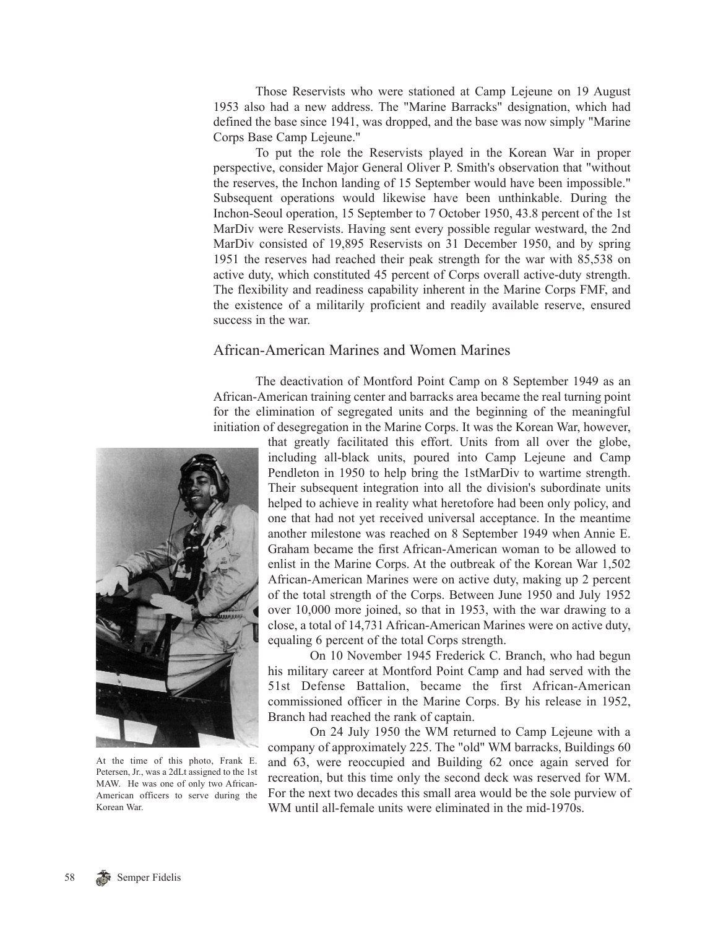Those Reservists who were stationed at Camp Lejeune on 19 August 1953 also had a new address. The "Marine Barracks" designation, which had defined the base since 1941, was dropped, and the base was now simply "Marine Corps Base Camp Lejeune."

To put the role the Reservists played in the Korean War in proper perspective, consider Major General Oliver P. Smith's observation that "without the reserves, the Inchon landing of 15 September would have been impossible." Subsequent operations would likewise have been unthinkable. During the Inchon-Seoul operation, 15 September to 7 October 1950, 43.8 percent of the 1st MarDiv were Reservists. Having sent every possible regular westward, the 2nd MarDiv consisted of 19,895 Reservists on 31 December 1950, and by spring 1951 the reserves had reached their peak strength for the war with 85,538 on active duty, which constituted 45 percent of Corps overall active-duty strength. The flexibility and readiness capability inherent in the Marine Corps FMF, and the existence of a militarily proficient and readily available reserve, ensured success in the war.

# African-American Marines and Women Marines

The deactivation of Montford Point Camp on 8 September 1949 as an African-American training center and barracks area became the real turning point for the elimination of segregated units and the beginning of the meaningful initiation of desegregation in the Marine Corps. It was the Korean War, however,



At the time of this photo, Frank E. Petersen, Jr., was a 2dLt assigned to the 1st MAW. He was one of only two African-American officers to serve during the Korean War.

that greatly facilitated this effort. Units from all over the globe, including all-black units, poured into Camp Lejeune and Camp Pendleton in 1950 to help bring the 1stMarDiv to wartime strength. Their subsequent integration into all the division's subordinate units helped to achieve in reality what heretofore had been only policy, and one that had not yet received universal acceptance. In the meantime another milestone was reached on 8 September 1949 when Annie E. Graham became the first African-American woman to be allowed to enlist in the Marine Corps. At the outbreak of the Korean War 1,502 African-American Marines were on active duty, making up 2 percent of the total strength of the Corps. Between June 1950 and July 1952 over 10,000 more joined, so that in 1953, with the war drawing to a close, a total of 14,731 African-American Marines were on active duty, equaling 6 percent of the total Corps strength.

On 10 November 1945 Frederick C. Branch, who had begun his military career at Montford Point Camp and had served with the 51st Defense Battalion, became the first African-American commissioned officer in the Marine Corps. By his release in 1952, Branch had reached the rank of captain.

On 24 July 1950 the WM returned to Camp Lejeune with a company of approximately 225. The "old" WM barracks, Buildings 60 and 63, were reoccupied and Building 62 once again served for recreation, but this time only the second deck was reserved for WM. For the next two decades this small area would be the sole purview of WM until all-female units were eliminated in the mid-1970s.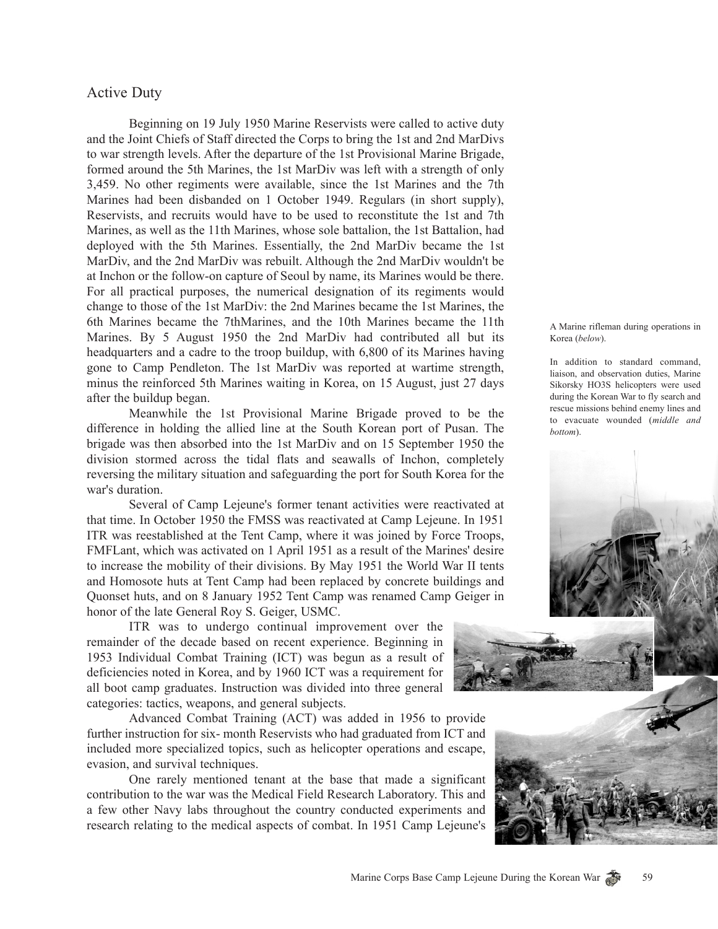# Active Duty

Beginning on 19 July 1950 Marine Reservists were called to active duty and the Joint Chiefs of Staff directed the Corps to bring the 1st and 2nd MarDivs to war strength levels. After the departure of the 1st Provisional Marine Brigade, formed around the 5th Marines, the 1st MarDiv was left with a strength of only 3,459. No other regiments were available, since the 1st Marines and the 7th Marines had been disbanded on 1 October 1949. Regulars (in short supply), Reservists, and recruits would have to be used to reconstitute the 1st and 7th Marines, as well as the 11th Marines, whose sole battalion, the 1st Battalion, had deployed with the 5th Marines. Essentially, the 2nd MarDiv became the 1st MarDiv, and the 2nd MarDiv was rebuilt. Although the 2nd MarDiv wouldn't be at Inchon or the follow-on capture of Seoul by name, its Marines would be there. For all practical purposes, the numerical designation of its regiments would change to those of the 1st MarDiv: the 2nd Marines became the 1st Marines, the 6th Marines became the 7thMarines, and the 10th Marines became the 11th Marines. By 5 August 1950 the 2nd MarDiv had contributed all but its headquarters and a cadre to the troop buildup, with 6,800 of its Marines having gone to Camp Pendleton. The 1st MarDiv was reported at wartime strength, minus the reinforced 5th Marines waiting in Korea, on 15 August, just 27 days after the buildup began.

Meanwhile the 1st Provisional Marine Brigade proved to be the difference in holding the allied line at the South Korean port of Pusan. The brigade was then absorbed into the 1st MarDiv and on 15 September 1950 the division stormed across the tidal flats and seawalls of Inchon, completely reversing the military situation and safeguarding the port for South Korea for the war's duration.

Several of Camp Lejeune's former tenant activities were reactivated at that time. In October 1950 the FMSS was reactivated at Camp Lejeune. In 1951 ITR was reestablished at the Tent Camp, where it was joined by Force Troops, FMFLant, which was activated on 1 April 1951 as a result of the Marines' desire to increase the mobility of their divisions. By May 1951 the World War II tents and Homosote huts at Tent Camp had been replaced by concrete buildings and Quonset huts, and on 8 January 1952 Tent Camp was renamed Camp Geiger in honor of the late General Roy S. Geiger, USMC.

ITR was to undergo continual improvement over the remainder of the decade based on recent experience. Beginning in 1953 Individual Combat Training (ICT) was begun as a result of deficiencies noted in Korea, and by 1960 ICT was a requirement for all boot camp graduates. Instruction was divided into three general categories: tactics, weapons, and general subjects.

Advanced Combat Training (ACT) was added in 1956 to provide further instruction for six- month Reservists who had graduated from ICT and included more specialized topics, such as helicopter operations and escape, evasion, and survival techniques.

One rarely mentioned tenant at the base that made a significant contribution to the war was the Medical Field Research Laboratory. This and a few other Navy labs throughout the country conducted experiments and research relating to the medical aspects of combat. In 1951 Camp Lejeune's

A Marine rifleman during operations in Korea (*below*).

In addition to standard command, liaison, and observation duties, Marine Sikorsky HO3S helicopters were used during the Korean War to fly search and rescue missions behind enemy lines and to evacuate wounded (*middle and bottom*).





59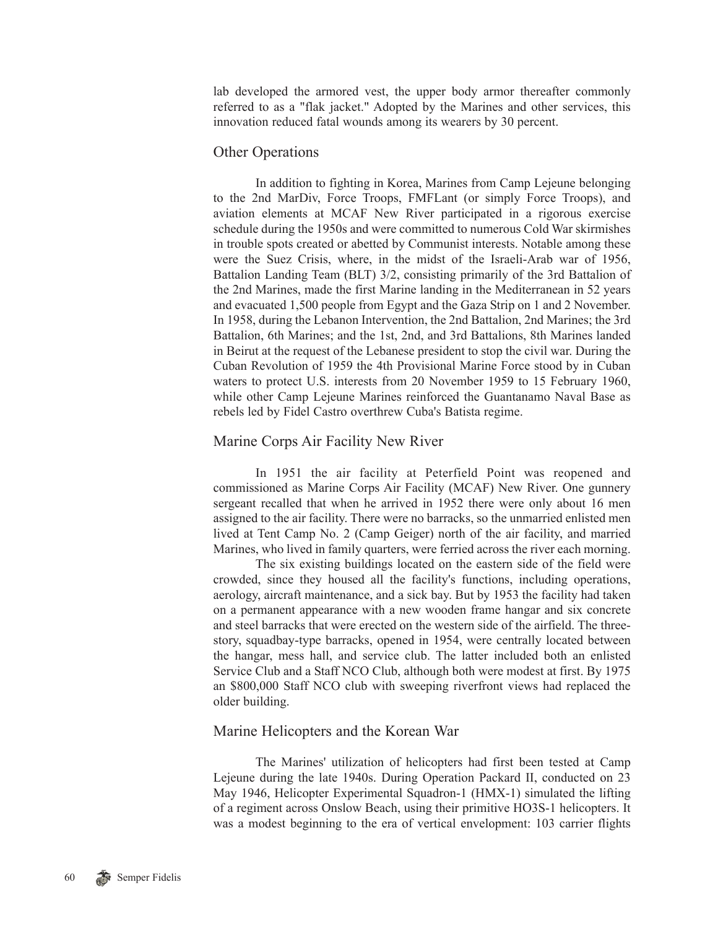lab developed the armored vest, the upper body armor thereafter commonly referred to as a "flak jacket." Adopted by the Marines and other services, this innovation reduced fatal wounds among its wearers by 30 percent.

### Other Operations

In addition to fighting in Korea, Marines from Camp Lejeune belonging to the 2nd MarDiv, Force Troops, FMFLant (or simply Force Troops), and aviation elements at MCAF New River participated in a rigorous exercise schedule during the 1950s and were committed to numerous Cold War skirmishes in trouble spots created or abetted by Communist interests. Notable among these were the Suez Crisis, where, in the midst of the Israeli-Arab war of 1956, Battalion Landing Team (BLT) 3/2, consisting primarily of the 3rd Battalion of the 2nd Marines, made the first Marine landing in the Mediterranean in 52 years and evacuated 1,500 people from Egypt and the Gaza Strip on 1 and 2 November. In 1958, during the Lebanon Intervention, the 2nd Battalion, 2nd Marines; the 3rd Battalion, 6th Marines; and the 1st, 2nd, and 3rd Battalions, 8th Marines landed in Beirut at the request of the Lebanese president to stop the civil war. During the Cuban Revolution of 1959 the 4th Provisional Marine Force stood by in Cuban waters to protect U.S. interests from 20 November 1959 to 15 February 1960, while other Camp Lejeune Marines reinforced the Guantanamo Naval Base as rebels led by Fidel Castro overthrew Cuba's Batista regime.

## Marine Corps Air Facility New River

In 1951 the air facility at Peterfield Point was reopened and commissioned as Marine Corps Air Facility (MCAF) New River. One gunnery sergeant recalled that when he arrived in 1952 there were only about 16 men assigned to the air facility. There were no barracks, so the unmarried enlisted men lived at Tent Camp No. 2 (Camp Geiger) north of the air facility, and married Marines, who lived in family quarters, were ferried across the river each morning.

The six existing buildings located on the eastern side of the field were crowded, since they housed all the facility's functions, including operations, aerology, aircraft maintenance, and a sick bay. But by 1953 the facility had taken on a permanent appearance with a new wooden frame hangar and six concrete and steel barracks that were erected on the western side of the airfield. The threestory, squadbay-type barracks, opened in 1954, were centrally located between the hangar, mess hall, and service club. The latter included both an enlisted Service Club and a Staff NCO Club, although both were modest at first. By 1975 an \$800,000 Staff NCO club with sweeping riverfront views had replaced the older building.

### Marine Helicopters and the Korean War

The Marines' utilization of helicopters had first been tested at Camp Lejeune during the late 1940s. During Operation Packard II, conducted on 23 May 1946, Helicopter Experimental Squadron-1 (HMX-1) simulated the lifting of a regiment across Onslow Beach, using their primitive HO3S-1 helicopters. It was a modest beginning to the era of vertical envelopment: 103 carrier flights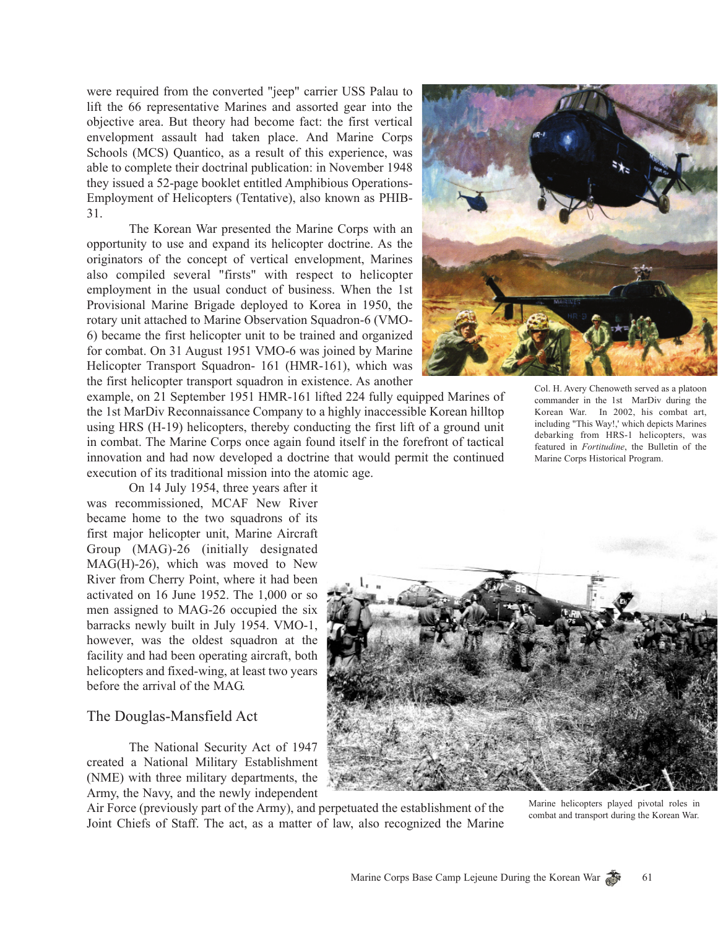were required from the converted "jeep" carrier USS Palau to lift the 66 representative Marines and assorted gear into the objective area. But theory had become fact: the first vertical envelopment assault had taken place. And Marine Corps Schools (MCS) Quantico, as a result of this experience, was able to complete their doctrinal publication: in November 1948 they issued a 52-page booklet entitled Amphibious Operations-Employment of Helicopters (Tentative), also known as PHIB-31.

The Korean War presented the Marine Corps with an opportunity to use and expand its helicopter doctrine. As the originators of the concept of vertical envelopment, Marines also compiled several "firsts" with respect to helicopter employment in the usual conduct of business. When the 1st Provisional Marine Brigade deployed to Korea in 1950, the rotary unit attached to Marine Observation Squadron-6 (VMO-6) became the first helicopter unit to be trained and organized for combat. On 31 August 1951 VMO-6 was joined by Marine Helicopter Transport Squadron- 161 (HMR-161), which was the first helicopter transport squadron in existence. As another



example, on 21 September 1951 HMR-161 lifted 224 fully equipped Marines of the 1st MarDiv Reconnaissance Company to a highly inaccessible Korean hilltop using HRS (H-19) helicopters, thereby conducting the first lift of a ground unit in combat. The Marine Corps once again found itself in the forefront of tactical innovation and had now developed a doctrine that would permit the continued execution of its traditional mission into the atomic age.

On 14 July 1954, three years after it was recommissioned, MCAF New River became home to the two squadrons of its first major helicopter unit, Marine Aircraft Group (MAG)-26 (initially designated MAG(H)-26), which was moved to New River from Cherry Point, where it had been activated on 16 June 1952. The 1,000 or so men assigned to MAG-26 occupied the six barracks newly built in July 1954. VMO-1, however, was the oldest squadron at the facility and had been operating aircraft, both helicopters and fixed-wing, at least two years before the arrival of the MAG.

### The Douglas-Mansfield Act

The National Security Act of 1947 created a National Military Establishment (NME) with three military departments, the Army, the Navy, and the newly independent



Air Force (previously part of the Army), and perpetuated the establishment of the Joint Chiefs of Staff. The act, as a matter of law, also recognized the Marine

Marine helicopters played pivotal roles in combat and transport during the Korean War.

Col. H. Avery Chenoweth served as a platoon commander in the 1st MarDiv during the Korean War. In 2002, his combat art, including "This Way!,' which depicts Marines debarking from HRS-1 helicopters, was featured in *Fortitudine*, the Bulletin of the Marine Corps Historical Program.

61